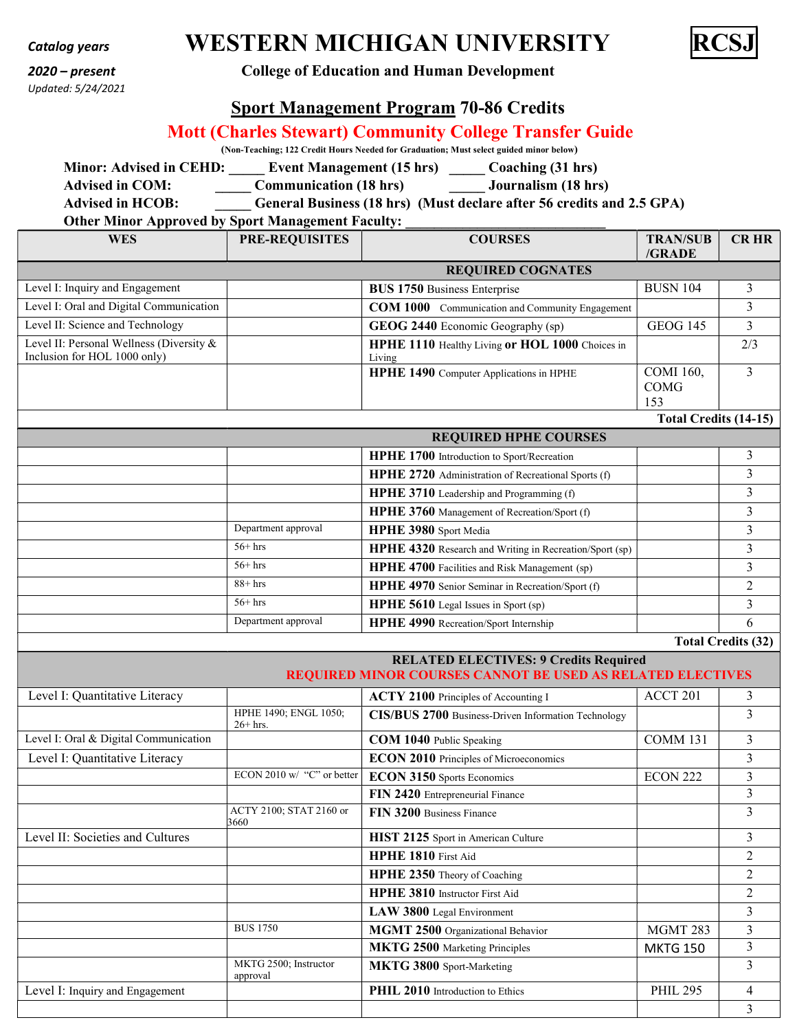# Updated: 5/24/2021

 $\frac{C}{C}$ Catalog years **WESTERN MICHIGAN UNIVERSITY** 



### 2020 – present College of Education and Human Development

## Sport Management Program 70-86 Credits

## Mott (Charles Stewart) Community College Transfer Guide

(Non-Teaching; 122 Credit Hours Needed for Graduation; Must select guided minor below)

Minor: Advised in CEHD: Event Management (15 hrs) \_\_\_\_\_ Coaching (31 hrs) Advised in COM: Communication (18 hrs) Journalism (18 hrs)

Advised in HCOB: General Business (18 hrs) (Must declare after 56 credits and 2.5 GPA)

#### Other Minor Approved by Sport Management Faculty:

| <b>WES</b>                                                               | <b>PRE-REQUISITES</b> | <b>COURSES</b>                                            | <b>TRAN/SUB</b><br>/GRADE              | <b>CR HR</b> |  |
|--------------------------------------------------------------------------|-----------------------|-----------------------------------------------------------|----------------------------------------|--------------|--|
| <b>REQUIRED COGNATES</b>                                                 |                       |                                                           |                                        |              |  |
| Level I: Inquiry and Engagement                                          |                       | <b>BUS 1750</b> Business Enterprise                       | <b>BUSN 104</b>                        |              |  |
| Level I: Oral and Digital Communication                                  |                       | <b>COM 1000</b> Communication and Community Engagement    |                                        |              |  |
| Level II: Science and Technology                                         |                       | <b>GEOG 2440</b> Economic Geography (sp)                  | <b>GEOG 145</b>                        |              |  |
| Level II: Personal Wellness (Diversity &<br>Inclusion for HOL 1000 only) |                       | HPHE 1110 Healthy Living or HOL 1000 Choices in<br>Living |                                        | 2/3          |  |
|                                                                          |                       | HPHE 1490 Computer Applications in HPHE                   | <b>COMI</b> 160,<br><b>COMG</b><br>153 | $\mathbf{3}$ |  |
|                                                                          |                       |                                                           | Total Credits (14-15)                  |              |  |

| <b>REQUIRED HPHE COURSES</b> |                     |                                                                |  |  |
|------------------------------|---------------------|----------------------------------------------------------------|--|--|
|                              |                     | HPHE 1700 Introduction to Sport/Recreation                     |  |  |
|                              |                     | HPHE 2720 Administration of Recreational Sports (f)            |  |  |
|                              |                     | HPHE 3710 Leadership and Programming (f)                       |  |  |
|                              |                     | <b>HPHE 3760</b> Management of Recreation/Sport (f)            |  |  |
|                              | Department approval | HPHE 3980 Sport Media                                          |  |  |
|                              | $56+$ hrs           | <b>HPHE 4320</b> Research and Writing in Recreation/Sport (sp) |  |  |
|                              | $56+$ hrs           | HPHE 4700 Facilities and Risk Management (sp)                  |  |  |
|                              | $88+$ hrs           | HPHE 4970 Senior Seminar in Recreation/Sport (f)               |  |  |
|                              | $56+$ hrs           | HPHE 5610 Legal Issues in Sport (sp)                           |  |  |
|                              | Department approval | HPHE 4990 Recreation/Sport Internship                          |  |  |

Total Credits (32)

| <b>RELATED ELECTIVES: 9 Credits Required</b><br>REQUIRED MINOR COURSES CANNOT BE USED AS RELATED ELECTIVES |                                     |                                                     |                 |                |
|------------------------------------------------------------------------------------------------------------|-------------------------------------|-----------------------------------------------------|-----------------|----------------|
| Level I: Quantitative Literacy                                                                             |                                     | ACTY 2100 Principles of Accounting I                | ACCT 201        | 3              |
|                                                                                                            | HPHE 1490; ENGL 1050;<br>$26+$ hrs. | CIS/BUS 2700 Business-Driven Information Technology |                 | 3              |
| Level I: Oral & Digital Communication                                                                      |                                     | COM 1040 Public Speaking                            | COMM 131        | 3              |
| Level I: Quantitative Literacy                                                                             |                                     | <b>ECON 2010</b> Principles of Microeconomics       |                 | 3              |
|                                                                                                            | ECON 2010 w/ "C" or better          | ECON 3150 Sports Economics                          | ECON 222        | 3              |
|                                                                                                            |                                     | FIN 2420 Entrepreneurial Finance                    |                 | 3              |
|                                                                                                            | ACTY 2100; STAT 2160 or<br>3660     | FIN 3200 Business Finance                           |                 | 3              |
| Level II: Societies and Cultures                                                                           |                                     | HIST 2125 Sport in American Culture                 |                 | 3              |
|                                                                                                            |                                     | <b>HPHE 1810</b> First Aid                          |                 | $\overline{2}$ |
|                                                                                                            |                                     | HPHE 2350 Theory of Coaching                        |                 | 2              |
|                                                                                                            |                                     | HPHE 3810 Instructor First Aid                      |                 | $\mathfrak{D}$ |
|                                                                                                            |                                     | LAW 3800 Legal Environment                          |                 | 3              |
|                                                                                                            | <b>BUS 1750</b>                     | MGMT 2500 Organizational Behavior                   | <b>MGMT 283</b> | 3              |
|                                                                                                            |                                     | MKTG 2500 Marketing Principles                      | <b>MKTG 150</b> | 3              |
|                                                                                                            | MKTG 2500; Instructor<br>approval   | MKTG 3800 Sport-Marketing                           |                 | 3              |
| Level I: Inquiry and Engagement                                                                            |                                     | <b>PHIL 2010</b> Introduction to Ethics             | <b>PHIL 295</b> | 4              |
|                                                                                                            |                                     |                                                     |                 | 3              |